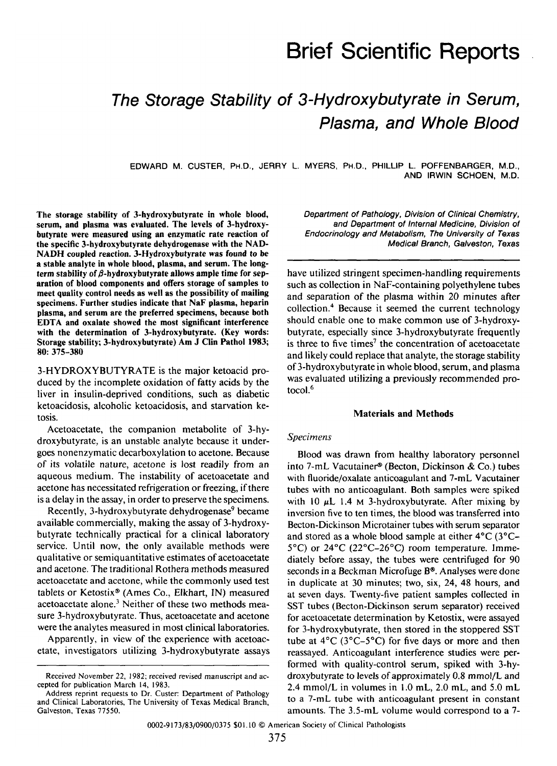# Brief Scientific Reports

# **The Storage Stability of 3-Hydroxybutyrate in Serum, Plasma, and Whole Blood**

EDWARD M. CUSTER, PH.D., JERRY L. MYERS, PH.D., PHILLIP L. POFFENBARGER, M.D., AND IRWIN SCHOEN, M.D.

The storage stability of 3-hydroxybutyrate in whole blood, serum, and plasma was evaluated. The levels of 3-hydroxybutyrate were measured using an enzymatic rate reaction of the specific 3-hydroxybutyrate dehydrogenase with the NAD-NADH coupled reaction. 3-Hydroxybutyrate was found to be a stable analyte in whole blood, plasma, and serum. The longterm stability of  $\beta$ -hydroxybutyrate allows ample time for separation of blood components and offers storage of samples to meet quality control needs as well as the possibility of mailing specimens. Further studies indicate that NaF plasma, heparin plasma, and serum are the preferred specimens, because both EDTA and oxalate showed the most significant interference with the determination of 3-hydroxybutyrate. (Key words: Storage stability; 3-hydroxybutyrate) Am J Clin Pathol 1983; 80: 375-380

3-HYDROXYBUTYRATE is the major ketoacid produced by the incomplete oxidation of fatty acids by the liver in insulin-deprived conditions, such as diabetic ketoacidosis, alcoholic ketoacidosis, and starvation ketosis.

Acetoacetate, the companion metabolite of 3-hydroxybutyrate, is an unstable analyte because it undergoes nonenzymatic decarboxylation to acetone. Because of its volatile nature, acetone is lost readily from an aqueous medium. The instability of acetoacetate and acetone has necessitated refrigeration or freezing, if there is a delay in the assay, in order to preserve the specimens.

Recently, 3-hydroxybutyrate dehydrogenase<sup>9</sup> became available commercially, making the assay of 3-hydroxybutyrate technically practical for a clinical laboratory service. Until now, the only available methods were qualitative or semiquantitative estimates of acetoacetate and acetone. The traditional Rothera methods measured acetoacetate and acetone, while the commonly used test tablets or Ketostix® (Ames Co., Elkhart, IN) measured acetoacetate alone.<sup>3</sup> Neither of these two methods measure 3-hydroxybutyrate. Thus, acetoacetate and acetone were the analytes measured in most clinical laboratories.

Apparently, in view of the experience with acetoacetate, investigators utilizing 3-hydroxybutyrate assays Department of Pathology, Division of Clinical Chemistry, and Department of Internal Medicine, Division of Endocrinology and Metabolism, The University of Texas Medical Branch, Galveston, Texas

have utilized stringent specimen-handling requirements such as collection in NaF-containing polyethylene tubes and separation of the plasma within 20 minutes after collection.<sup>4</sup> Because it seemed the current technology should enable one to make common use of 3-hydroxybutyrate, especially since 3-hydroxybutyrate frequently is three to five times<sup>7</sup> the concentration of acetoacetate and likely could replace that analyte, the storage stability of 3-hydroxybutyrate in whole blood, serum, and plasma was evaluated utilizing a previously recommended protocol.<sup>6</sup>

#### Materials and Methods

#### *Specimens*

Blood was drawn from healthy laboratory personnel into 7-mL Vacutainer® (Becton, Dickinson & Co.) tubes with fluoride/oxalate anticoagulant and 7-mL Vacutainer tubes with no anticoagulant. Both samples were spiked with 10  $\mu$ L 1.4 M 3-hydroxybutyrate. After mixing by inversion five to ten times, the blood was transferred into Becton-Dickinson Microtainer tubes with serum separator and stored as a whole blood sample at either 4°C (3°C-5°C) or 24°C (22°C-26°C) room temperature. Immediately before assay, the tubes were centrifuged for 90 seconds in a Beckman Microfuge B®. Analyses were done in duplicate at 30 minutes; two, six, 24, 48 hours, and at seven days. Twenty-five patient samples collected in SST tubes (Becton-Dickinson serum separator) received for acetoacetate determination by Ketostix, were assayed for 3-hydroxybutyrate, then stored in the stoppered SST tube at  $4^{\circ}$ C (3 $^{\circ}$ C–5 $^{\circ}$ C) for five days or more and then reassayed. Anticoagulant interference studies were performed with quality-control serum, spiked with 3-hydroxybutyrate to levels of approximately 0.8 mmol/L and 2.4 mmol/L in volumes in 1.0 mL, 2.0 mL, and 5.0 mL to a 7-mL tube with anticoagulant present in constant amounts. The 3.5-mL volume would correspond to a 7-

0002-9173/83/0900/0375 \$01.10 © American Society of Clinical Pathologists

Received November 22, 1982; received revised manuscript and accepted for publication March 14, 1983.<br>Address reprint requests to Dr. Custer: Department of Pathology<br>and Clinical Laboratories, The University of Texas Medica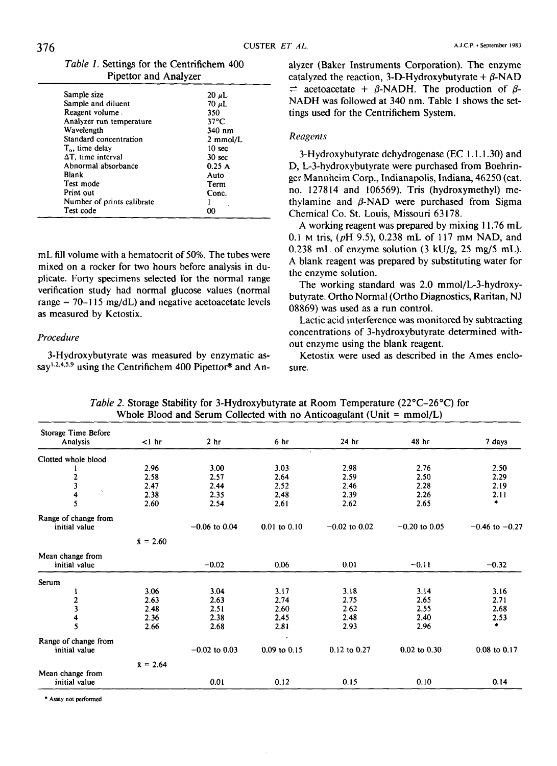| <i>Table 1.</i> Settings for the Centrifichem 400 |  |
|---------------------------------------------------|--|
| Pipettor and Analyzer                             |  |

| Sample size                 | $20 \mu L$         |
|-----------------------------|--------------------|
| Sample and diluent          | $70 \mu L$         |
| Reagent volume.             | 350                |
| Analyzer run temperature    | $37^{\circ}$ C     |
| Wavelength                  | 340 nm             |
| Standard concentration      | $2 \text{ mmol/L}$ |
| T <sub>o</sub> , time delay | 10 sec             |
| $\Delta T$ , time interval  | 30 <sub>sec</sub>  |
| Abnormal absorbance         | 0.25A              |
| Blank                       | Auto               |
| Test mode                   | Term               |
| Print out                   | Conc.              |
| Number of prints calibrate  |                    |
| Test code                   |                    |

mL fill volume with a hematocrit of 50%. The tubes were mixed on a rocker for two hours before analysis in duplicate. Forty specimens selected for the normal range verification study had normal glucose values (normal range =  $70-115$  mg/dL) and negative acetoacetate levels as measured by Ketostix.

#### *Procedure*

3-Hydroxybutyrate was measured by enzymatic assay<sup>1,2,4,5,9</sup> using the Centrifichem 400 Pipettor<sup>®</sup> and Analyzer (Baker Instruments Corporation). The enzyme catalyzed the reaction, 3-D-Hydroxybutyrate  $+ \beta$ -NAD  $\Rightarrow$  acetoacetate +  $\beta$ -NADH. The production of  $\beta$ -NADH was followed at 340 nm. Table 1 shows the settings used for the Centrifichem System.

#### *Reagents*

3-Hydroxybutyrate dehydrogenase (EC 1.1.1.30) and D, L-3-hydroxybutyrate were purchased from Boehringer Mannheim Corp., Indianapolis, Indiana, 46250 (cat. no. 127814 and 106569). Tris (hydroxymethyl) methylamine and  $\beta$ -NAD were purchased from Sigma Chemical Co. St. Louis, Missouri 63178.

A working reagent was prepared by mixing 11.76 mL 0.1 M tris, *(pH* 9.5), 0.238 mL of 117 mM NAD, and 0.238 mL of enzyme solution (3 kU/g, 25 mg/5 mL). A blank reagent was prepared by substituting water for the enzyme solution.

The working standard was 2.0 mmol/L-3-hydroxybutyrate. Ortho Normal (Ortho Diagnostics, Raritan, NJ 08869) was used as a run control.

Lactic acid interference was monitored by subtracting concentrations of 3-hydroxybutyrate determined without enzyme using the blank reagent.

Ketostix were used as described in the Ames enclosure.

| Storage Time Before<br>Analysis       | $<$ 1 hr         | 2 <sub>hr</sub> | 6 <sub>hr</sub>  | 24 hr           | 48 hr            | 7 days             |
|---------------------------------------|------------------|-----------------|------------------|-----------------|------------------|--------------------|
| Clotted whole blood                   |                  |                 | $\mathbf{r}$     |                 |                  |                    |
|                                       | 2.96             | 3.00            | 3.03             | 2.98            | 2.76             | 2.50               |
| 2                                     | 2.58             | 2.57            | 2.64             | 2.59            | 2.50             | 2.29               |
| 3                                     | 2.47             | 2.44            | 2.52             | 2.46            | 2.28             | 2.19               |
| $\cdot$<br>4                          | 2.38             | 2.35            | 2.48             | 2.39            | 2.26             | 2.11               |
| 5                                     | 2.60             | 2.54            | 2.61             | 2.62            | 2.65             | ٠                  |
| Range of change from                  |                  |                 |                  |                 |                  |                    |
| initial value                         |                  | $-0.06$ to 0.04 | $0.01$ to $0.10$ | $-0.02$ to 0.02 | $-0.20$ to 0.05  | $-0.46$ to $-0.27$ |
|                                       | $\bar{x} = 2.60$ |                 |                  |                 |                  |                    |
| Mean change from<br>initial value     |                  | $-0.02$         | 0.06             | 0.01            | $-0.11$          | $-0.32$            |
| Serum                                 |                  |                 |                  |                 |                  |                    |
|                                       | 3.06             | 3.04            | 3.17             | 3.18            | 3.14             | 3.16               |
| 2                                     | 2.63             | 2.63            | 2.74             | 2.75            | 2.65             | 2.71               |
| 3                                     | 2.48             | 2.51            | 2.60             | 2.62            | 2.55             | 2.68               |
|                                       | 2.36             | 2.38            | 2.45             | 2.48            | 2.40             | 2.53               |
| 5                                     | 2.66             | 2.68            | 2.81             | 2.93            | 2.96             | ۰                  |
| Range of change from<br>initial value |                  | $-0.02$ to 0.03 | $0.09$ to $0.15$ | 0.12 to 0.27    | $0.02$ to $0.30$ | 0.08 to 0.17       |
|                                       | $\bar{x} = 2.64$ |                 |                  |                 |                  |                    |
| Mean change from                      |                  |                 |                  |                 |                  |                    |
| initial value                         |                  | 0.01            | 0.12             | 0.15            | 0.10             | 0.14               |

*Table 2.* Storage Stability for 3-Hydroxybutyrate at Room Temperature (22°C-26°C) for Whole Blood and Serum Collected with no Anticoagulant (Unit =  $mmol/L$ )

**\* Assay not performed**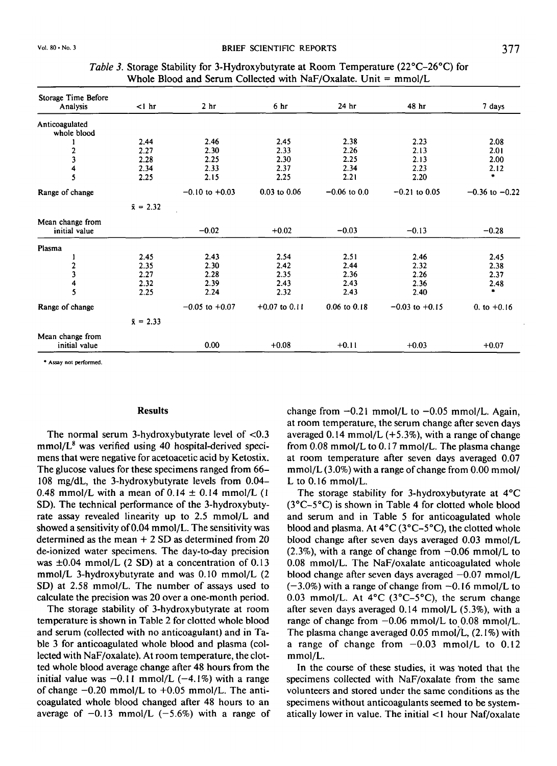| Storage Time Before               |                  |                    |                  |                  |                    |                    |
|-----------------------------------|------------------|--------------------|------------------|------------------|--------------------|--------------------|
| Analysis                          | $<$ 1 hr         | 2 <sub>hr</sub>    | 6 <sub>hr</sub>  | 24 hr            | 48 hr              | 7 days             |
| Anticoagulated<br>whole blood     |                  |                    |                  |                  |                    |                    |
|                                   | 2.44             | 2.46               | 2.45             | 2.38             | 2.23               | 2.08               |
| 2                                 | 2.27             | 2.30               | 2.33             | 2.26             | 2.13               | 2.01               |
|                                   | 2.28             | 2.25               | 2.30             | 2.25             | 2.13               | 2.00               |
| 4                                 | 2.34             | 2.33               | 2.37             | 2.34             | 2.23               | 2.12               |
| 5                                 | 2.25             | 2.15               | 2.25             | 2.21             | 2.20               | ٠                  |
| Range of change                   |                  | $-0.10$ to $+0.03$ | $0.03$ to $0.06$ | $-0.06$ to 0.0   | $-0.21$ to 0.05    | $-0.36$ to $-0.22$ |
|                                   | $\bar{x} = 2.32$ |                    |                  |                  |                    |                    |
| Mean change from<br>initial value |                  | $-0.02$            | $+0.02$          | $-0.03$          | $-0.13$            | $-0.28$            |
| Plasma                            |                  |                    |                  |                  |                    |                    |
|                                   | 2.45             | 2.43               | 2.54             | 2.51             | 2.46               | 2.45               |
| 2                                 | 2.35             | 2.30               | 2.42             | 2.44             | 2.32               | 2.38               |
| 3                                 | 2.27             | 2.28               | 2.35             | 2.36             | 2.26               | 2.37               |
| 4                                 | 2.32             | 2.39               | 2.43             | 2.43             | 2.36               | 2.48               |
| 5                                 | 2.25             | 2.24               | 2.32             | 2.43             | 2.40               | ٠                  |
| Range of change                   |                  | $-0.05$ to $+0.07$ | $+0.07$ to 0.11  | $0.06$ to $0.18$ | $-0.03$ to $+0.15$ | 0. to $+0.16$      |
|                                   | $\bar{x} = 2.33$ |                    |                  |                  |                    |                    |
| Mean change from<br>initial value |                  | 0.00               | $+0.08$          | $+0.11$          | $+0.03$            | $+0.07$            |

### *Table 3.* Storage Stability for 3-Hydroxybutyrate at Room Temperature (22°C-26°C) for Whole Blood and Serum Collected with NaF/Oxalate. Unit  $=$  mmol/L

**• Assay not performed.** 

#### **Results**

The normal serum 3-hydroxybutyrate level of  $< 0.3$ mmol/L<sup>8</sup> was verified using 40 hospital-derived specimens that were negative for acetoacetic acid by Ketostix. The glucose values for these specimens ranged from 66- 108 mg/dL, the 3-hydroxybutyrate levels from 0.04- 0.48 mmol/L with a mean of  $0.14 \pm 0.14$  mmol/L (1) SD). The technical performance of the 3-hydroxybutyrate assay revealed linearity up to 2.5 mmol/L and showed a sensitivity of 0.04 mmol/L. The sensitivity was determined as the mean + 2 SD as determined from 20 de-ionized water specimens. The day-to-day precision was  $\pm 0.04$  mmol/L (2 SD) at a concentration of 0.13 mmol/L 3-hydroxybutyrate and was 0.10 mmol/L (2 SD) at 2.58 mmol/L. The number of assays used to calculate the precision was 20 over a one-month period.

The storage stability of 3-hydroxybutyrate at room temperature is shown in Table 2 for clotted whole blood and serum (collected with no anticoagulant) and in Table 3 for anticoagulated whole blood and plasma (collected with NaF/oxalate). At room temperature, the clotted whole blood average change after 48 hours from the initial value was  $-0.11$  mmol/L ( $-4.1\%$ ) with a range of change  $-0.20$  mmol/L to  $+0.05$  mmol/L. The anticoagulated whole blood changed after 48 hours to an average of  $-0.13$  mmol/L (-5.6%) with a range of change from  $-0.21$  mmol/L to  $-0.05$  mmol/L. Again, at room temperature, the serum change after seven days averaged  $0.14$  mmol/L (+5.3%), with a range of change from 0.08 mmol/L to 0.17 mmol/L. The plasma change at room temperature after seven days averaged 0.07 mmol/L (3.0%) with a range of change from 0.00 mmol/ L to  $0.16$  mmol/L.

The storage stability for 3-hydroxybutyrate at 4°C (3°C-5°C) is shown in Table 4 for clotted whole blood and serum and in Table 5 for anticoagulated whole blood and plasma. At  $4^{\circ}C(3^{\circ}C-5^{\circ}C)$ , the clotted whole blood change after seven days averaged 0.03 mmol/L  $(2.3\%)$ , with a range of change from  $-0.06$  mmol/L to 0.08 mmol/L. The NaF/oxalate anticoagulated whole blood change after seven days averaged  $-0.07$  mmol/L  $(-3.0\%)$  with a range of change from  $-0.16$  mmol/L to 0.03 mmol/L. At  $4^{\circ}$ C ( $3^{\circ}$ C– $5^{\circ}$ C), the serum change after seven days averaged 0.14 mmol/L (5.3%), with a range of change from  $-0.06$  mmol/L to 0.08 mmol/L. The plasma change averaged 0.05 mmol/L, (2.1%) with a range of change from  $-0.03$  mmol/L to  $0.12$ mmol/L.

In the course of these studies, it was noted that the specimens collected with NaF/oxalate from the same volunteers and stored under the same conditions as the specimens without anticoagulants seemed to be systematically lower in value. The initial < 1 hour Naf/oxalate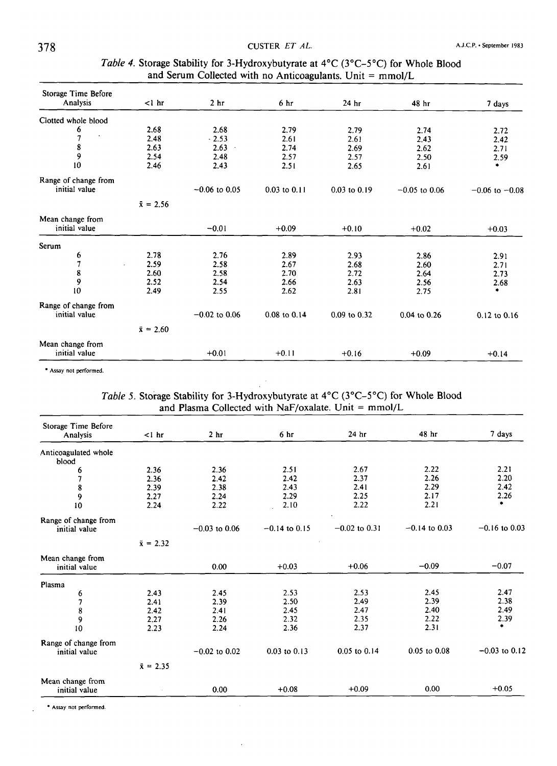| Storage Time Before         |                  |                 |                  |                  |                  |                    |
|-----------------------------|------------------|-----------------|------------------|------------------|------------------|--------------------|
| Analysis                    | $1 hr$           | 2 <sub>hr</sub> | 6 <sub>hr</sub>  | 24 <sub>hr</sub> | 48 hr            | 7 days             |
| Clotted whole blood         |                  |                 |                  |                  |                  |                    |
| 6                           | 2.68             | 2.68            | 2.79             | 2.79             | 2.74             | 2.72               |
| $\bullet$<br>$\overline{7}$ | 2.48             | $-2.53$         | 2.61             | 2.61             | 2.43             | 2.42               |
| 8                           | 2.63             | 2.63            | 2.74             | 2.69             | 2.62             | 2.71               |
| 9                           | 2.54             | 2.48            | 2.57             | 2.57             | 2.50             | 2.59               |
| 10                          | 2.46             | 2.43            | 2.51             | 2.65             | 2.61             | ٠                  |
| Range of change from        |                  |                 |                  |                  |                  |                    |
| initial value               |                  | $-0.06$ to 0.05 | $0.03$ to $0.11$ | $0.03$ to $0.19$ | $-0.05$ to 0.06  | $-0.06$ to $-0.08$ |
|                             | $\bar{x} = 2.56$ |                 |                  |                  |                  |                    |
| Mean change from            |                  |                 |                  |                  |                  |                    |
| initial value               |                  | $-0.01$         | $+0.09$          | $+0.10$          | $+0.02$          | $+0.03$            |
| Serum                       |                  |                 |                  |                  |                  |                    |
| 6                           | 2.78             | 2.76            | 2.89             | 2.93             | 2.86             | 2.91               |
| $\overline{1}$              | 2.59             | 2.58            | 2.67             | 2.68             | 2.60             | 2.71               |
| 8                           | 2.60             | 2.58            | 2.70             | 2.72             | 2.64             | 2.73               |
| 9                           | 2.52             | 2.54            | 2.66             | 2.63             | 2.56             | 2.68               |
| 10                          | 2.49             | 2.55            | 2.62             | 2.81             | 2.75             | ٠                  |
| Range of change from        |                  |                 |                  |                  |                  |                    |
| initial value               |                  | $-0.02$ to 0.06 | 0.08 to 0.14     | 0.09 to 0.32     | $0.04$ to $0.26$ | $0.12$ to $0.16$   |
|                             | $\bar{x} = 2.60$ |                 |                  |                  |                  |                    |
| Mean change from            |                  |                 |                  |                  |                  |                    |
| initial value               |                  | $+0.01$         | $+0.11$          | $+0.16$          | $+0.09$          | $+0.14$            |

### *Table 4.* Storage Stability for 3-Hydroxybutyrate at 4°C (3°C-5°C) for Whole Blood and Serum Collected with no Anticoagulants. Unit = mmol/L

**• Assay not performed.** 

## *Table 5.* Storage Stability for 3-Hydroxybutyrate at 4°C (3°C-5°C) for Whole Blood and Plasma Collected with NaF/oxalate. Unit =  $mmol/L$

| Storage Time Before                   |                  |                 |                  |                  |                  |                 |
|---------------------------------------|------------------|-----------------|------------------|------------------|------------------|-----------------|
| Analysis                              | $<1$ hr          | 2 <sub>hr</sub> | 6 <sub>hr</sub>  | 24 <sub>hr</sub> | 48 hr            | 7 days          |
| Anticoagulated whole<br>blood         |                  |                 |                  |                  |                  |                 |
| 6                                     | 2.36             | 2.36            | 2.51             | 2.67             | 2.22             | 2.21            |
|                                       | 2.36             | 2.42            | 2.42             | 2.37             | 2.26             | 2.20            |
| 8                                     | 2.39             | 2.38            | 2.43             | 2.41             | 2.29             | 2.42            |
| 9                                     | 2.27             | 2.24            | 2.29             | 2.25             | 2.17             | 2.26            |
| 10                                    | 2.24             | 2.22            | 2.10             | 2.22             | 2.21             |                 |
| Range of change from                  |                  |                 |                  |                  |                  |                 |
| initial value                         |                  | $-0.03$ to 0.06 | $-0.14$ to 0.15  | $-0.02$ to 0.31  | $-0.14$ to 0.03  | $-0.16$ to 0.03 |
|                                       | $\bar{x} = 2.32$ |                 |                  |                  |                  |                 |
| Mean change from<br>initial value     |                  | 0.00            | $+0.03$          | $+0.06$          | $-0.09$          | $-0.07$         |
| Plasma                                |                  |                 |                  |                  |                  |                 |
| 6                                     | 2.43             | 2.45            | 2.53             | 2.53             | 2.45             | 2.47            |
| 7                                     | 2.41             | 2.39            | 2.50             | 2.49             | 2.39             | 2.38            |
| 8                                     | 2.42             | 2.41            | 2.45             | 2.47             | 2.40             | 2.49            |
| 9                                     | 2.27             | 2.26            | 2.32             | 2.35             | 2.22             | 2.39            |
| 10                                    | 2.23             | 2.24            | 2.36             | 2.37             | 2.31             | ٠               |
| Range of change from<br>initial value |                  | $-0.02$ to 0.02 | $0.03$ to $0.13$ | $0.05$ to $0.14$ | $0.05$ to $0.08$ | $-0.03$ to 0.12 |
|                                       | $\bar{x} = 2.35$ |                 |                  |                  |                  |                 |
| Mean change from<br>initial value     |                  | 0.00            | $+0.08$          | $+0.09$          | 0.00             | $+0.05$         |

**• Assay not performed.**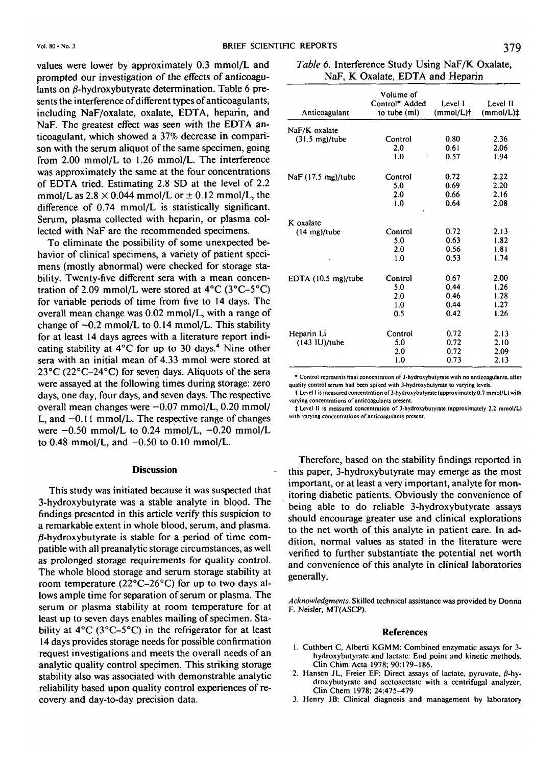values were lower by approximately 0.3 mmol/L and prompted our investigation of the effects of anticoagulants on  $\beta$ -hydroxybutyrate determination. Table 6 presents the interference of different types of anticoagulants, including NaF/oxalate, oxalate, EDTA, heparin, and NaF. The greatest effect was seen with the EDTA anticoagulant, which showed a 37% decrease in comparison with the serum aliquot of the same specimen, going from 2.00 mmol/L to 1.26 mmol/L. The interference was approximately the same at the four concentrations of EDTA tried. Estimating 2.8 SD at the level of 2.2 mmol/L as  $2.8 \times 0.044$  mmol/L or  $\pm$  0.12 mmol/L, the difference of 0.74 mmol/L is statistically significant. Serum, plasma collected with heparin, or plasma collected with NaF are the recommended specimens.

To eliminate the possibility of some unexpected behavior of clinical specimens, a variety of patient specimens (mostly abnormal) were checked for storage stability. Twenty-five different sera with a mean concentration of 2.09 mmol/L were stored at  $4^{\circ}$ C ( $3^{\circ}$ C– $5^{\circ}$ C) for variable periods of time from five to 14 days. The overall mean change was 0.02 mmol/L, with a range of change of  $-0.2$  mmol/L to 0.14 mmol/L. This stability for at least 14 days agrees with a literature report indicating stability at  $4^{\circ}$ C for up to 30 days.<sup>4</sup> Nine other sera with an initial mean of 4.33 mmol were stored at 23°C (22°C-24°C) for seven days. Aliquots of the sera were assayed at the following times during storage: zero days, one day, four days, and seven days. The respective overall mean changes were  $-0.07$  mmol/L, 0.20 mmol/ L, and  $-0.11$  mmol/L. The respective range of changes were  $-0.50$  mmol/L to 0.24 mmol/L,  $-0.20$  mmol/L to  $0.48$  mmol/L, and  $-0.50$  to  $0.10$  mmol/L.

#### **Discussion**

This study was initiated because it was suspected that 3-hydroxybutyrate was a stable analyte in blood. The findings presented in this article verify this suspicion to a remarkable extent in whole blood, serum, and plasma.  $\beta$ -hydroxybutyrate is stable for a period of time compatible with all preanalytic storage circumstances, as well as prolonged storage requirements for quality control. The whole blood storage and serum storage stability at room temperature (22°C-26°C) for up to two days allows ample time for separation of serum or plasma. The serum or plasma stability at room temperature for at least up to seven days enables mailing of specimen. Stability at 4°C (3°C-5°C) in the refrigerator for at least 14 days provides storage needs for possible confirmation request investigations and meets the overall needs of an analytic quality control specimen. This striking storage stability also was associated with demonstrable analytic reliability based upon quality control experiences of recovery and day-to-day precision data.

| Table 6. Interference Study Using NaF/K Oxalate, |
|--------------------------------------------------|
| NaF, K Oxalate, EDTA and Heparin                 |

| Anticoagulant                  | Volume of<br>Control* Added<br>to tube (ml) | Level I<br>$(mmol/L)$ † | Level II<br>$(mmol/L)+$ |
|--------------------------------|---------------------------------------------|-------------------------|-------------------------|
| NaF/K oxalate                  |                                             |                         |                         |
| $(31.5 \text{ mg})$ /tube      | Control                                     | 0.80                    | 2.36                    |
|                                | 2.0                                         | 0.61                    | 2.06                    |
|                                | 1.0                                         | 0.57                    | 1.94                    |
| NaF (17.5 mg)/tube             | Control                                     | 0.72                    | 2.22                    |
|                                | 5.0                                         | 0.69                    | 2.20                    |
|                                | 2.0                                         | 0.66                    | 2.16                    |
|                                | 1.0                                         | 0.64                    | 2.08                    |
| K oxalate                      |                                             |                         |                         |
| $(14 \text{ mg})$ /tube        | Control                                     | 0.72                    | 2.13                    |
|                                | 5.0                                         | 0.63                    | 1.82                    |
|                                | 2.0                                         | 0.56                    | 1.81                    |
|                                | 1.0                                         | 0.53                    | 1.74                    |
| EDTA $(10.5 \text{ mg})$ /tube | Control                                     | 0.67                    | 2.00                    |
|                                | 5.0                                         | 0.44                    | 1.26                    |
|                                | 2.0                                         | 0.46                    | 1.28                    |
|                                | 1.0                                         | 0.44                    | 1.27                    |
|                                | 0.5                                         | 0.42                    | 1.26                    |
| Heparin Li                     | Control                                     | 0.72                    | 2.13                    |
| (143 IU)/tube                  | 5.0                                         | 0.72                    | 2.10                    |
|                                | 2.0                                         | 0.72                    | 2.09                    |
|                                | 1.0                                         | 0.73                    | 2.13                    |

**• Control represents final concentration of 3-hydroxybutyrate with no anticoagulants, after quality control serum had been spiked with 3-hydroxybutyrate to varying levels.** 

**t Level I is measured concentration of 3-hydroxybutyrate(approximately0.7 mmol/L) with varying concentrations of anticoagulants present.** 

*t* **Level II is measured concentration of 3-hydroxybutyrate (approximately 2.2 mmol/L) with varying concentrations of anticoagulants present.** 

Therefore, based on the stability findings reported in this paper, 3-hydroxybutyrate may emerge as the most important, or at least a very important, analyte for monitoring diabetic patients. Obviously the convenience of being able to do reliable 3-hydroxybutyrate assays should encourage greater use and clinical explorations to the net worth of this analyte in patient care. In addition, normal values as stated in the literature were verified to further substantiate the potential net worth and convenience of this analyte in clinical laboratories generally.

*Acknowledgments.* **Skilled technical assistance was provided by Donna F. Neisler, MT(ASCP).** 

#### References

- **1. Cuthbert C, Alberti KGMM: Combined enzymatic assays for 3 hydroxybutyrate and lactate: End point and kinetic methods. Clin Chim Acta 1978; 90:179-186. 2. Hansen JL, Freier EF: Direct assays of lactate, pyruvate, 0-hy-**
- **droxybutyrate and acetoacetate with a centrifugal analyzer. Clin Chem 1978; 24:475-479**
- **3. Henry JB: Clinical diagnosis and management by laboratory**